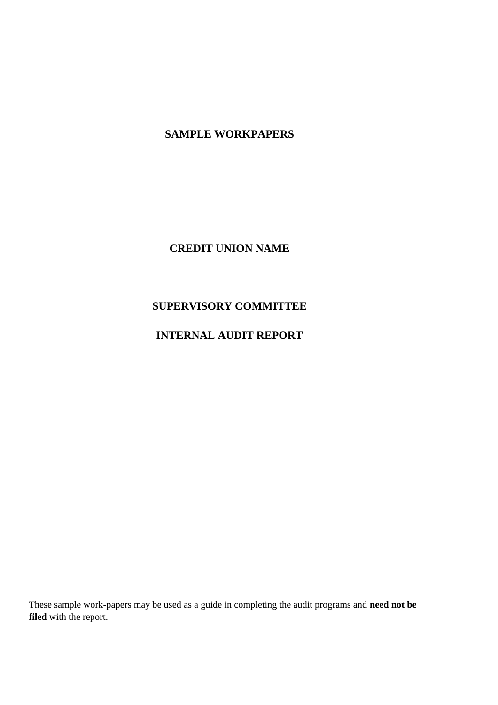**SAMPLE WORKPAPERS**

**CREDIT UNION NAME**

## **SUPERVISORY COMMITTEE**

## **INTERNAL AUDIT REPORT**

These sample work-papers may be used as a guide in completing the audit programs and **need not be filed** with the report.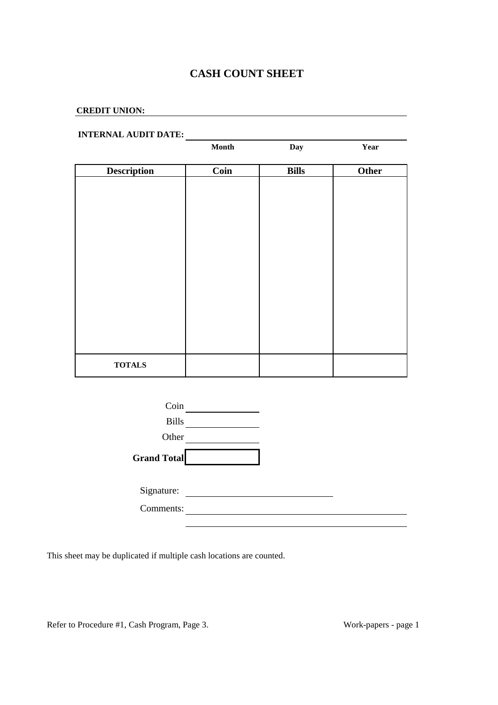### **CASH COUNT SHEET**

### **CREDIT UNION:**

# **INTERNAL AUDIT DATE:**

|                    | $\mathbf{Month}$ | Day          | Year  |
|--------------------|------------------|--------------|-------|
|                    |                  |              |       |
| <b>Description</b> | Coin             | <b>Bills</b> | Other |
|                    |                  |              |       |
|                    |                  |              |       |
|                    |                  |              |       |
|                    |                  |              |       |
|                    |                  |              |       |
|                    |                  |              |       |
|                    |                  |              |       |
|                    |                  |              |       |
|                    |                  |              |       |
|                    |                  |              |       |
|                    |                  |              |       |
|                    |                  |              |       |
|                    |                  |              |       |
|                    |                  |              |       |
|                    |                  |              |       |
|                    |                  |              |       |
| <b>TOTALS</b>      |                  |              |       |
|                    |                  |              |       |



This sheet may be duplicated if multiple cash locations are counted.

Refer to Procedure #1, Cash Program, Page 3. Work-papers - page 1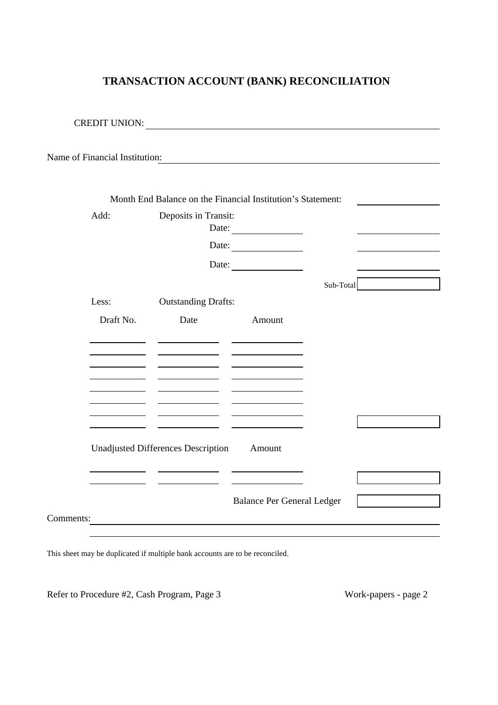# **TRANSACTION ACCOUNT (BANK) RECONCILIATION**

| Name of Financial Institution: |                                                             |                                                                                                                 |           |  |
|--------------------------------|-------------------------------------------------------------|-----------------------------------------------------------------------------------------------------------------|-----------|--|
|                                |                                                             |                                                                                                                 |           |  |
|                                | Month End Balance on the Financial Institution's Statement: |                                                                                                                 |           |  |
| Add:                           | Deposits in Transit:                                        |                                                                                                                 |           |  |
|                                |                                                             | Date:                                                                                                           |           |  |
|                                |                                                             | Date:                                                                                                           |           |  |
|                                |                                                             | Date:                                                                                                           |           |  |
|                                |                                                             |                                                                                                                 | Sub-Total |  |
| Less:                          | <b>Outstanding Drafts:</b>                                  |                                                                                                                 |           |  |
|                                |                                                             |                                                                                                                 |           |  |
| Draft No.                      | Date                                                        | Amount                                                                                                          |           |  |
|                                |                                                             | $\overline{\phantom{a}}$ and $\overline{\phantom{a}}$ and $\overline{\phantom{a}}$ and $\overline{\phantom{a}}$ |           |  |
|                                |                                                             |                                                                                                                 |           |  |
|                                |                                                             |                                                                                                                 |           |  |
|                                |                                                             |                                                                                                                 |           |  |
|                                |                                                             |                                                                                                                 |           |  |
|                                | the company of the company of the company                   |                                                                                                                 |           |  |
|                                |                                                             |                                                                                                                 |           |  |
|                                | <b>Unadjusted Differences Description</b>                   | Amount                                                                                                          |           |  |
|                                |                                                             |                                                                                                                 |           |  |
|                                |                                                             |                                                                                                                 |           |  |
|                                |                                                             |                                                                                                                 |           |  |
|                                |                                                             | <b>Balance Per General Ledger</b>                                                                               |           |  |

This sheet may be duplicated if multiple bank accounts are to be reconciled.

Refer to Procedure #2, Cash Program, Page 3 Work-papers - page 2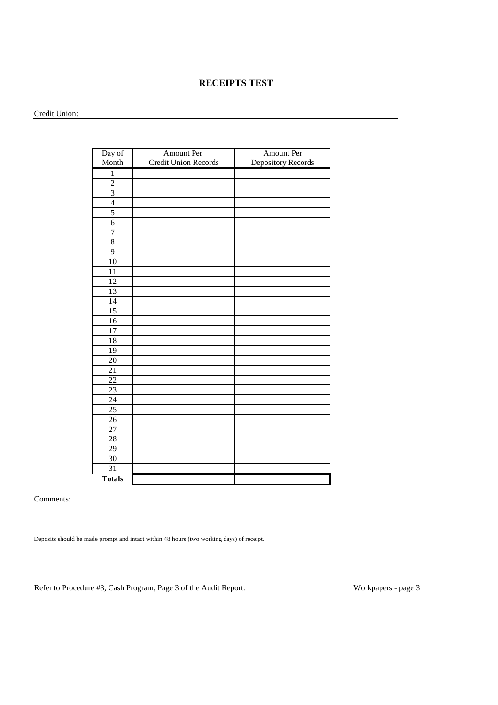#### **RECEIPTS TEST**

#### Credit Union:

| Day of          | <b>Amount Per</b>    | <b>Amount Per</b>  |
|-----------------|----------------------|--------------------|
| Month           | Credit Union Records | Depository Records |
| $\,1\,$         |                      |                    |
| $\overline{2}$  |                      |                    |
| $\overline{3}$  |                      |                    |
| $\overline{4}$  |                      |                    |
| 5               |                      |                    |
| $\overline{6}$  |                      |                    |
| $\overline{7}$  |                      |                    |
| $\overline{8}$  |                      |                    |
| 9               |                      |                    |
| 10              |                      |                    |
| 11              |                      |                    |
| 12              |                      |                    |
| 13              |                      |                    |
| 14              |                      |                    |
| $\overline{15}$ |                      |                    |
| $\overline{16}$ |                      |                    |
| 17              |                      |                    |
| 18              |                      |                    |
| 19              |                      |                    |
| 20              |                      |                    |
| $\overline{21}$ |                      |                    |
| $\overline{22}$ |                      |                    |
| 23              |                      |                    |
| $\overline{24}$ |                      |                    |
| $\overline{25}$ |                      |                    |
| 26              |                      |                    |
| $\overline{27}$ |                      |                    |
| 28              |                      |                    |
| 29              |                      |                    |
| $\overline{30}$ |                      |                    |
| $\overline{31}$ |                      |                    |
| <b>Totals</b>   |                      |                    |

Comments:

Deposits should be made prompt and intact within 48 hours (two working days) of receipt.

Refer to Procedure #3, Cash Program, Page 3 of the Audit Report. Workpapers - page 3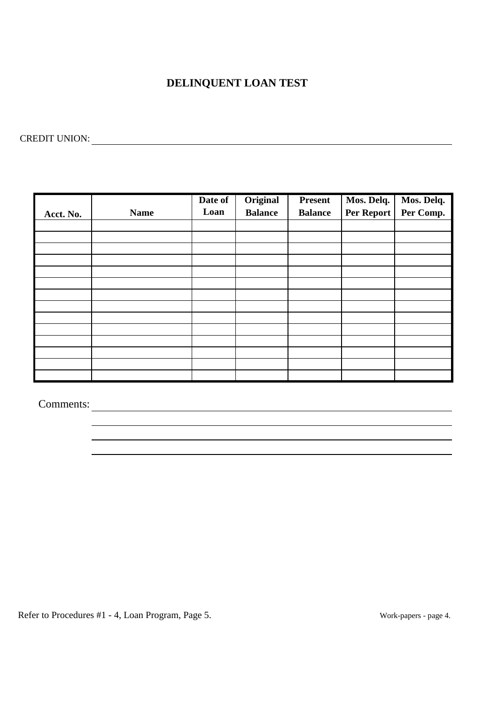## **DELINQUENT LOAN TEST**

CREDIT UNION:

| Acct. No. | <b>Name</b> | Date of<br>Loan | Original<br><b>Balance</b> | <b>Present</b><br><b>Balance</b> | Mos. Delq.<br>Per Report | Mos. Delq.<br>Per Comp. |
|-----------|-------------|-----------------|----------------------------|----------------------------------|--------------------------|-------------------------|
|           |             |                 |                            |                                  |                          |                         |
|           |             |                 |                            |                                  |                          |                         |
|           |             |                 |                            |                                  |                          |                         |
|           |             |                 |                            |                                  |                          |                         |
|           |             |                 |                            |                                  |                          |                         |
|           |             |                 |                            |                                  |                          |                         |
|           |             |                 |                            |                                  |                          |                         |
|           |             |                 |                            |                                  |                          |                         |
|           |             |                 |                            |                                  |                          |                         |
|           |             |                 |                            |                                  |                          |                         |
|           |             |                 |                            |                                  |                          |                         |
|           |             |                 |                            |                                  |                          |                         |
|           |             |                 |                            |                                  |                          |                         |
|           |             |                 |                            |                                  |                          |                         |

Comments:

Refer to Procedures #1 - 4, Loan Program, Page 5.

Work-papers - page 4.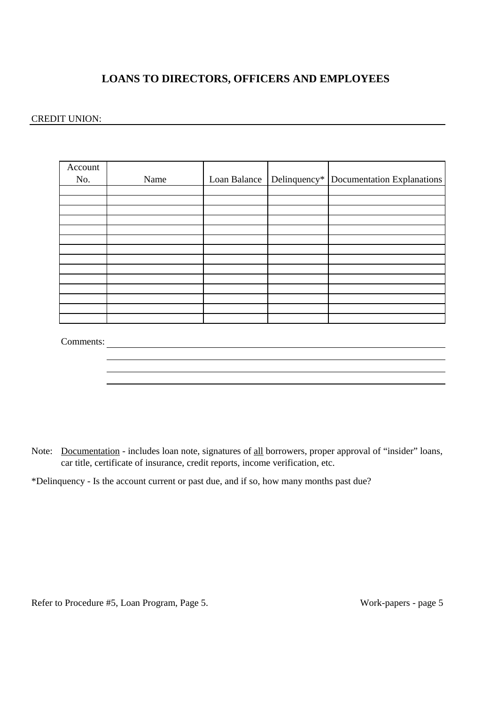## **LOANS TO DIRECTORS, OFFICERS AND EMPLOYEES**

#### CREDIT UNION:

| Account<br>No. | Name | Loan Balance | Delinquency* Documentation Explanations |
|----------------|------|--------------|-----------------------------------------|
|                |      |              |                                         |
|                |      |              |                                         |
|                |      |              |                                         |
|                |      |              |                                         |
|                |      |              |                                         |
|                |      |              |                                         |
|                |      |              |                                         |
|                |      |              |                                         |
|                |      |              |                                         |
|                |      |              |                                         |
|                |      |              |                                         |
|                |      |              |                                         |
|                |      |              |                                         |
|                |      |              |                                         |

Comments:

Note: Documentation - includes loan note, signatures of all borrowers, proper approval of "insider" loans, car title, certificate of insurance, credit reports, income verification, etc.

\*Delinquency - Is the account current or past due, and if so, how many months past due?

Refer to Procedure #5, Loan Program, Page 5. Work-papers - page 5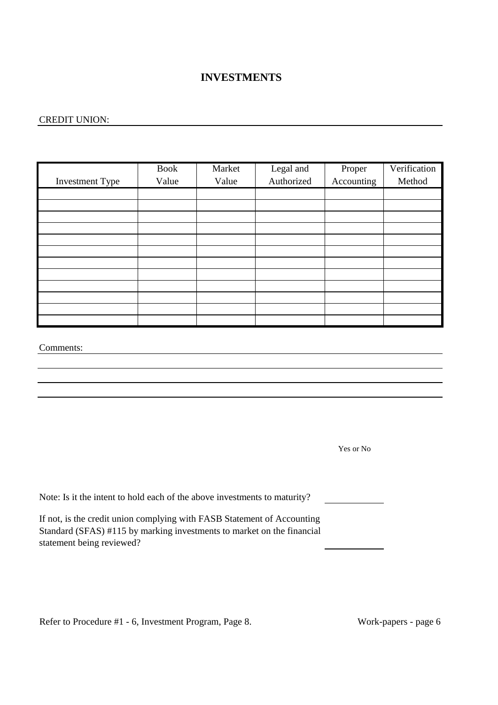### **INVESTMENTS**

#### CREDIT UNION:

|                        | <b>Book</b> | Market | Legal and  | Proper     | Verification |
|------------------------|-------------|--------|------------|------------|--------------|
| <b>Investment Type</b> | Value       | Value  | Authorized | Accounting | Method       |
|                        |             |        |            |            |              |
|                        |             |        |            |            |              |
|                        |             |        |            |            |              |
|                        |             |        |            |            |              |
|                        |             |        |            |            |              |
|                        |             |        |            |            |              |
|                        |             |        |            |            |              |
|                        |             |        |            |            |              |
|                        |             |        |            |            |              |
|                        |             |        |            |            |              |
|                        |             |        |            |            |              |
|                        |             |        |            |            |              |

Comments:

Yes or No

Note: Is it the intent to hold each of the above investments to maturity?

If not, is the credit union complying with FASB Statement of Accounting Standard (SFAS) #115 by marking investments to market on the financial statement being reviewed?

Refer to Procedure #1 - 6, Investment Program, Page 8. Work-papers - page 6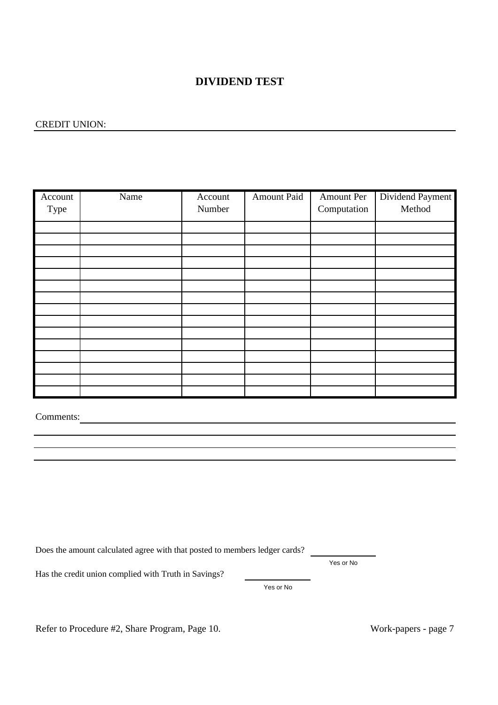### **DIVIDEND TEST**

#### CREDIT UNION:

| Account | Name | Account | Amount Paid | Amount Per  | Dividend Payment |
|---------|------|---------|-------------|-------------|------------------|
|         |      |         |             |             |                  |
| Type    |      | Number  |             | Computation | Method           |
|         |      |         |             |             |                  |
|         |      |         |             |             |                  |
|         |      |         |             |             |                  |
|         |      |         |             |             |                  |
|         |      |         |             |             |                  |
|         |      |         |             |             |                  |
|         |      |         |             |             |                  |
|         |      |         |             |             |                  |
|         |      |         |             |             |                  |
|         |      |         |             |             |                  |
|         |      |         |             |             |                  |
|         |      |         |             |             |                  |
|         |      |         |             |             |                  |
|         |      |         |             |             |                  |
|         |      |         |             |             |                  |
|         |      |         |             |             |                  |

Comments:

Does the amount calculated agree with that posted to members ledger cards?

Yes or No

Has the credit union complied with Truth in Savings?

Yes or No

Refer to Procedure #2, Share Program, Page 10.

Work-papers - page 7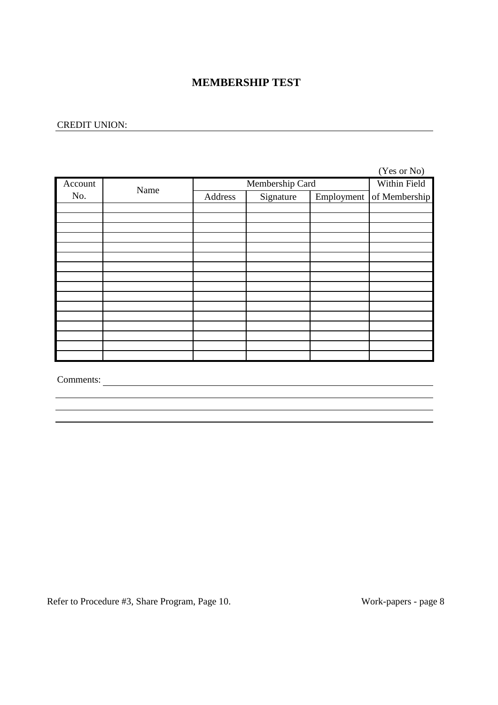### **MEMBERSHIP TEST**

#### CREDIT UNION:

|         |      |                 |              |            | (Yes or No)   |
|---------|------|-----------------|--------------|------------|---------------|
| Account | Name | Membership Card | Within Field |            |               |
| No.     |      | Address         | Signature    | Employment | of Membership |
|         |      |                 |              |            |               |
|         |      |                 |              |            |               |
|         |      |                 |              |            |               |
|         |      |                 |              |            |               |
|         |      |                 |              |            |               |
|         |      |                 |              |            |               |
|         |      |                 |              |            |               |
|         |      |                 |              |            |               |
|         |      |                 |              |            |               |
|         |      |                 |              |            |               |
|         |      |                 |              |            |               |
|         |      |                 |              |            |               |
|         |      |                 |              |            |               |
|         |      |                 |              |            |               |
|         |      |                 |              |            |               |
|         |      |                 |              |            |               |

Comments:

Refer to Procedure #3, Share Program, Page 10. Work-papers - page 8